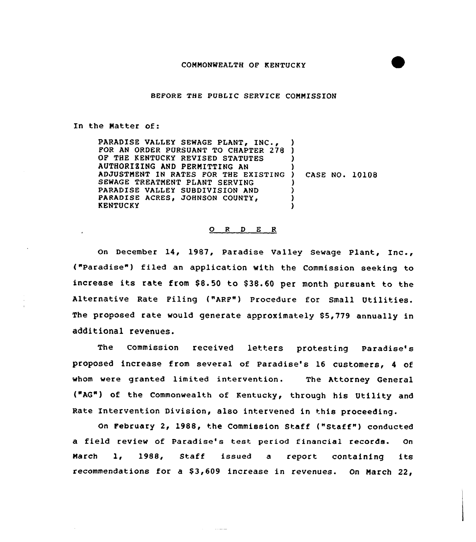BEFORE THE PUBLIC SERVICE COMMISSION

## In the Matter of:

PARADISE VALLEY SEWAGE PLANT, INC., FOR AN ORDER PURSUANT TO CHAPTER 278 OF THE KENTUCKY REVISED STATUTES AUTHORIEINQ AND PERMITTING AN AUTHURIZING AND PERMITTING AN<br>Adjustment in Rates for the existing ) SEWAGE TREATMENT PLANT SERVING PARADISE VALLEY SUBDIVISION AND PARADISE ACRES, JOHNSON COUNTY, KENTUCKY ) ) ) ) CASE NO. 10108 ) ) ) )

#### 0 <sup>R</sup> <sup>D</sup> <sup>E</sup> <sup>R</sup>

On December 14, 1987, Paradise Valley Sewage Plant, Inc., ("Paradise") filed an application with the Commission seeking to increase its rate from \$8.50 to \$38.60 per month pursuant to the Alternative Rate Filing ("ARF") Procedure for Small Utilities. The proposed rate would generate approximately S5,779 annually in additional revenues.

The Commission received letters protesting Paradise's proposed increase from several of Paradise's 16 customers, <sup>4</sup> of whom were granted limited intervention. The Attorney General ("AQ") of the Commonwealth of Kentucky, through his Utility and Rate Intervention Division, also intervened in this proceeding.

On February 2, 1988, the Commission Staff ("Staff") conducted a field review of Paradise's test period financial records. On March 1, 1988, Staff issued <sup>a</sup> report containing its recommendations for a \$3,609 increase in revenues. On March 22,

 $\sim 100$  and  $\sim 100$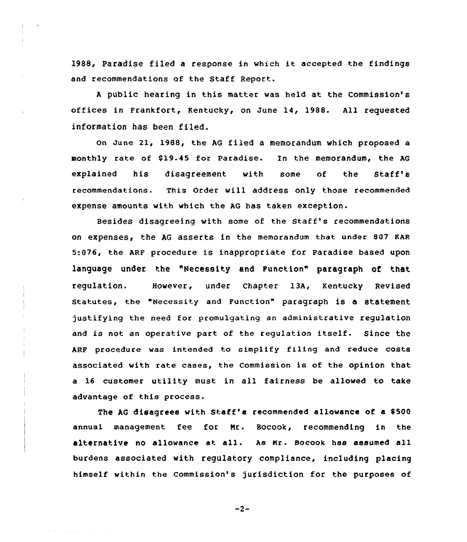1988, Paradise filed a response in which it accepted the findings and recommendations of the Staff Report.

<sup>A</sup> public hearing in this matter was held at the Commission's offices in Frankfort, Kentucky, on June 14, 1988. All requested information has been filed.

on June 21, 1988, the AG fiied a memorandum which proposed a monthly rate of \$19-45 for Paradise. In the memorandum, the AG explained his disagreement with some of the Staff's recommendations. This Order vill address only those recommended expense amounts with which the AG has taken exception.

Besides disagreeing with some of the Staff's recommendations on expenses, the AG asserts in the memorandum that under 807 KAR 5:076, the ARF procedure is inappropriate for Paradise based upon language under the "Necessity and Function" paragraph of that regulation. However, under Chapter 13A, Kentucky Revised statutes, the "Necessity and Function" paragraph is a statement justifying the need for promu1gating an administrative regulation and is not an operative part of the regulation itself. Since the ARF procedure was intended to simplify filing and reduce costs associated with rate cases, the Commission is of the opinion that a 16 customer utility must in all fairness be allowed to take advantage of this process.

The AG disagrees with Staff's recommended allowance of a \$500 annual management fee for Nr. Bocook, recommending in the alternative no allowance at all. As Nr. Bocook has assumed all burdens associated with regulatory compliance, including placing himself within the commission's jurisdiction for the purposes of

 $-2-$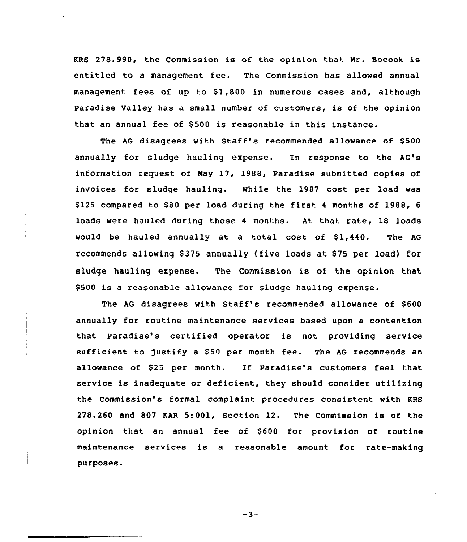KRS 278.990, the Commission is of the opinion that Nr. Bocook is entitled to a management fee. The Commission has allowed annual management fees of up to \$1,800 in numerous cases and, although Paradise Valley has a small number of customers, is of the opinion that an annual fee of \$500 is reasonable in this instance.

The AG disagrees with Staff's recommended allowance of \$500 annually for sludge hauling expense. In response to the AG's information request of Nay 17, 1988, Paradise submitted copies of invoices for sludge hauling. While the 1987 cost per load was \$125 compared to \$80 per load during the first 4 months of 1988, 6 loads were hauled during those <sup>4</sup> months. At that rate, 18 loads would be hauled annually at a total cost of \$1,440. The AG recommends allowing \$375 annually (five loads at \$75 per load) for sludge hauling expense. The Commission is of the opinion that \$ 500 is a reasonable allowance for sludge hauling expense.

The AG disagrees with Staff's recommended allowance of \$600 annually for routine maintenance services based upon a contention that Paradise's certified operator is not providing service sufficient to justify a \$50 per month fee. The AG recommends an allowance of \$<sup>25</sup> per month. If Paradise's customers feel that service is inadequate or deficient, they should consider utilizing the Commission's formal complaint procedures consistent with KRS 278.260 and 807 KAR 5:001, Section 12. The Commission is of the opinion that an annual fee of \$600 for provision of routine maintenance services is a reasonable amount for rate-making purposes.

 $-3-$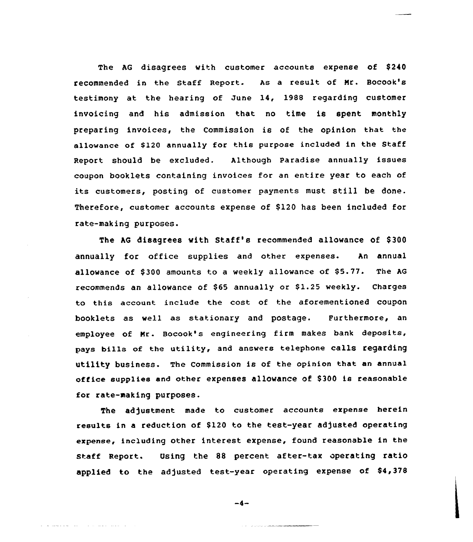The AG disagrees with customer accounts expense of \$240 recommended in the Staff Report. As a reeult of Nr. Bocook's testimony at the hearing of June 14, 1988 regarding customer invoicing and his admission that no time is spent monthly preparing invoices, the Commission is of the opinion that the allowance of \$120 annually for this purpose included in the Staff Report should be excluded. Although Paradise annually issues coupon booklets containing invoices for an entire year to each of its customers, posting of customer payments must still be done. Therefore, customer accounts expense of \$120 has been included for rate-making purposes.

The AG disagrees with Staff's recommended allowance of \$300 annually for office supplies and other expenses. An annual allowance of \$300 amounts to a weekly allowance of \$5.77. The AG recommends an allowance of \$65 annually or \$1.25 weekly. Charges to this account include the cost of the aforementioned coupon booklets as well as stationary and postage. Furthermore, an employee of Mr. Bocook's engineering firm makes bank deposits, pays bills of the utility, and answers telephone calls regarding utility business. The commission is of the opinion that an annual office supplies and other expenses allowance of \$300 is reasonable for rate-making purposes.

The adjustment made to customer accounts expense herein results in a reduction of \$120 to the test-year adjusted operating expense, including other interest expense, found reasonable in the staff Report. Using the && percent after-tax operating ratio applied to the adjusted test-year operating expense of \$4,378

$$
-4-
$$

a salah sahiji désa di kacamatan Sulawa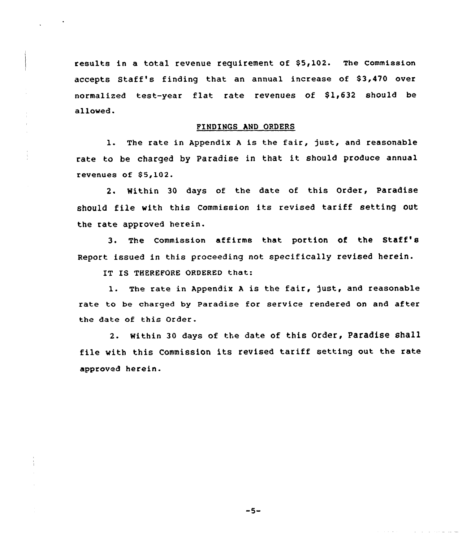results in a total revenue requirement of \$5,102. The Commission accepts Staff's finding that an annual increase of 83,470 over normalized test-year flat rate revenues of  $$1,632$  should be allowed.

# FINDINGS AND ORDERS

1. The rate in Appendix <sup>A</sup> is the fair, just, and reasonable rate to be charged by Paradise in that it should produce annual revenues of 85,102.

2. Within 30 days of the date of this Order, Paradise should file with this Commission its revised tariff setting out the rate approved herein.

3. The Commission affirms that portion of the St<mark>aff</mark> Report issued in this proceeding not specifically revised herein.

IT IS THEREFORE ORDERED that:

1. The rate in Appendix A is the fair, just, and reasonable rate to be charged by Paradise for service rendered on and after the date of this Order.

2. within 30 days of the date of this Order, Paradise shall file With this Commission its revised tariff setting out the rate approved herein.

 $-5-$ 

والتراويات والرواب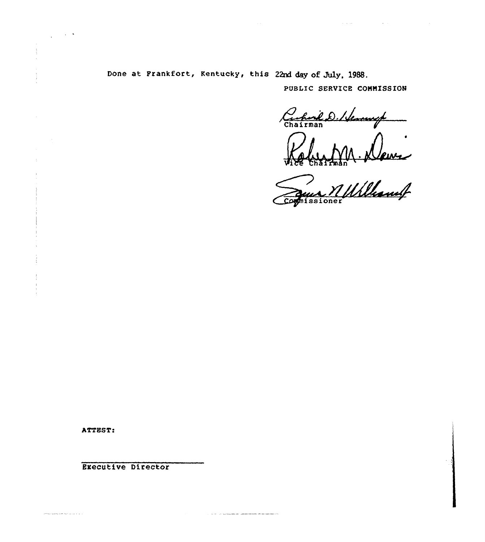Done at Frankfort, Kentucky, this 22nd day of July, 1988.

.<br>1982 - Andre Landerman, fransk forsk avstånder i Albert i Fransk forskeller i Albert i Sverige i Sverige i Sv

 $\sim$   $\sim$ 

PUBLIC SERVICE COMMISSION

 $\mathcal{L}^{\mathcal{L}}$  is a set of the set of the set of the set of the set of the set of the set of the set of the set of the set of the set of the set of the set of the set of the set of the set of the set of the set of the se

Cacharil D. Hennesop

M. News nissioner

ATTEST:

an a series and dealer and a

 $\mathbb{R}^n$ 

 $\mathbb{R}^2$ 

Executive Director